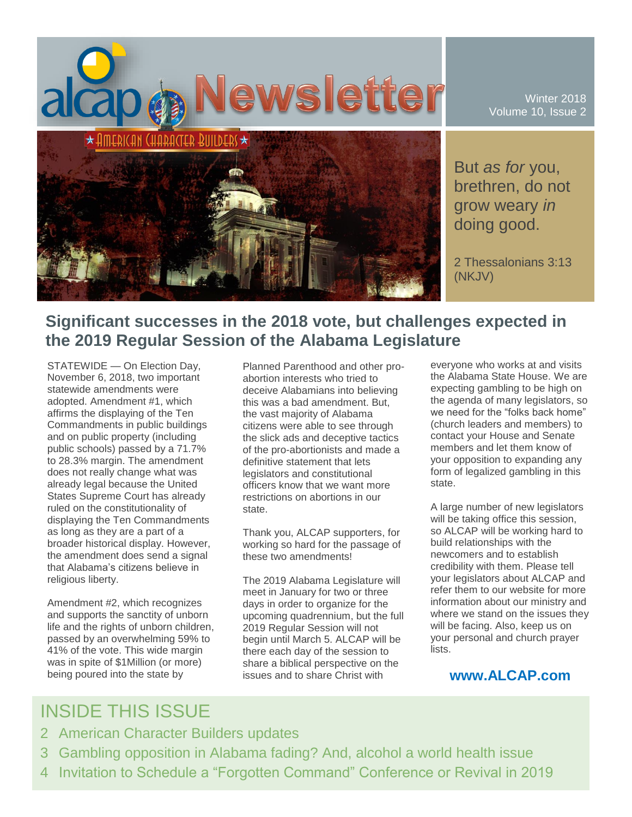

Winter 2018 Volume 10, Issue 2

But *as for* you, brethren, do not grow weary *in* doing good.

2 Thessalonians 3:13 (NKJV)

## **Significant successes in the 2018 vote, but challenges expected in the 2019 Regular Session of the Alabama Legislature**

STATEWIDE — On Election Day, November 6, 2018, two important statewide amendments were adopted. Amendment #1, which affirms the displaying of the Ten Commandments in public buildings and on public property (including public schools) passed by a 71.7% to 28.3% margin. The amendment does not really change what was already legal because the United States Supreme Court has already ruled on the constitutionality of displaying the Ten Commandments as long as they are a part of a broader historical display. However, the amendment does send a signal that Alabama's citizens believe in religious liberty.

Amendment #2, which recognizes and supports the sanctity of unborn life and the rights of unborn children, passed by an overwhelming 59% to 41% of the vote. This wide margin was in spite of \$1Million (or more) being poured into the state by

Planned Parenthood and other proabortion interests who tried to deceive Alabamians into believing this was a bad amendment. But, the vast majority of Alabama citizens were able to see through the slick ads and deceptive tactics of the pro-abortionists and made a definitive statement that lets legislators and constitutional officers know that we want more restrictions on abortions in our state.

Thank you, ALCAP supporters, for working so hard for the passage of these two amendments!

The 2019 Alabama Legislature will meet in January for two or three days in order to organize for the upcoming quadrennium, but the full 2019 Regular Session will not begin until March 5. ALCAP will be there each day of the session to share a biblical perspective on the issues and to share Christ with

everyone who works at and visits the Alabama State House. We are expecting gambling to be high on the agenda of many legislators, so we need for the "folks back home" (church leaders and members) to contact your House and Senate members and let them know of your opposition to expanding any form of legalized gambling in this state.

A large number of new legislators will be taking office this session, so ALCAP will be working hard to build relationships with the newcomers and to establish credibility with them. Please tell your legislators about ALCAP and refer them to our website for more information about our ministry and where we stand on the issues they will be facing. Also, keep us on your personal and church prayer lists.

#### **www.ALCAP.com**

## INSIDE THIS ISSUE

- 2 American Character Builders updates
- 3 Gambling opposition in Alabama fading? And, alcohol a world health issue
- 4 Invitation to Schedule a "Forgotten Command" Conference or Revival in 2019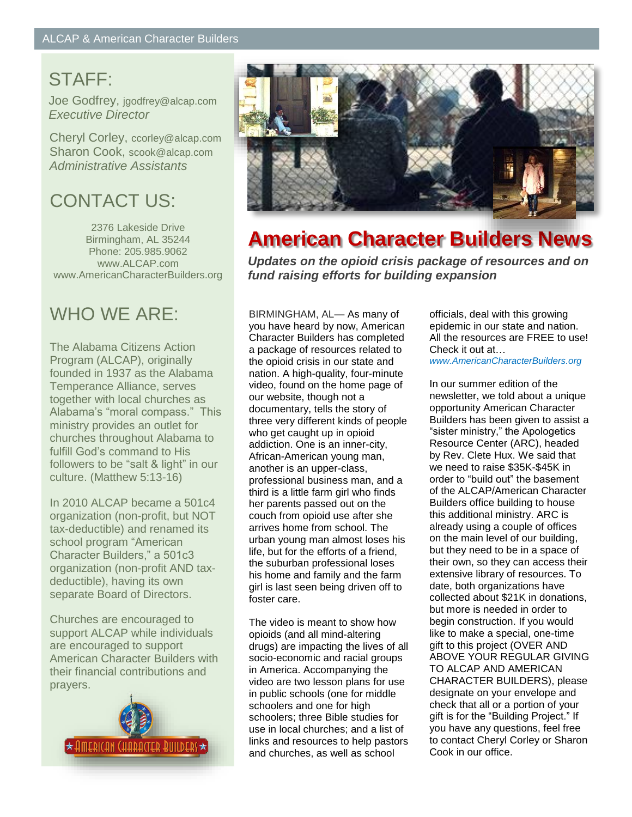# STAFF:

Joe Godfrey, jgodfrey@alcap.com *Executive Director*

Cheryl Corley, ccorley@alcap.com Sharon Cook, scook@alcap.com *Administrative Assistants*

# CONTACT US:

2376 Lakeside Drive Birmingham, AL 35244 Phone: 205.985.9062 www.ALCAP.com www.AmericanCharacterBuilders.org

# WHO WE ARE:

The Alabama Citizens Action Program (ALCAP), originally founded in 1937 as the Alabama Temperance Alliance, serves together with local churches as Alabama's "moral compass." This ministry provides an outlet for churches throughout Alabama to fulfill God's command to His followers to be "salt & light" in our culture. (Matthew 5:13-16)

In 2010 ALCAP became a 501c4 organization (non-profit, but NOT tax-deductible) and renamed its school program "American Character Builders," a 501c3 organization (non-profit AND taxdeductible), having its own separate Board of Directors.

Churches are encouraged to support ALCAP while individuals are encouraged to support American Character Builders with their financial contributions and prayers.





# **American Character Builders News**

*Updates on the opioid crisis package of resources and on fund raising efforts for building expansion*

BIRMINGHAM, AL— As many of you have heard by now, American Character Builders has completed a package of resources related to the opioid crisis in our state and nation. A high-quality, four-minute video, found on the home page of our website, though not a documentary, tells the story of three very different kinds of people who get caught up in opioid addiction. One is an inner-city, African-American young man, another is an upper-class, professional business man, and a third is a little farm girl who finds her parents passed out on the couch from opioid use after she arrives home from school. The urban young man almost loses his life, but for the efforts of a friend, the suburban professional loses his home and family and the farm girl is last seen being driven off to foster care.

The video is meant to show how opioids (and all mind-altering drugs) are impacting the lives of all socio-economic and racial groups in America. Accompanying the video are two lesson plans for use in public schools (one for middle schoolers and one for high schoolers; three Bible studies for use in local churches; and a list of links and resources to help pastors and churches, as well as school

officials, deal with this growing epidemic in our state and nation. All the resources are FREE to use! Check it out at…

*www.AmericanCharacterBuilders.org*

In our summer edition of the newsletter, we told about a unique opportunity American Character Builders has been given to assist a "sister ministry," the Apologetics Resource Center (ARC), headed by Rev. Clete Hux. We said that we need to raise \$35K-\$45K in order to "build out" the basement of the ALCAP/American Character Builders office building to house this additional ministry. ARC is already using a couple of offices on the main level of our building, but they need to be in a space of their own, so they can access their extensive library of resources. To date, both organizations have collected about \$21K in donations, but more is needed in order to begin construction. If you would like to make a special, one-time gift to this project (OVER AND ABOVE YOUR REGULAR GIVING TO ALCAP AND AMERICAN CHARACTER BUILDERS), please designate on your envelope and check that all or a portion of your gift is for the "Building Project." If you have any questions, feel free to contact Cheryl Corley or Sharon Cook in our office.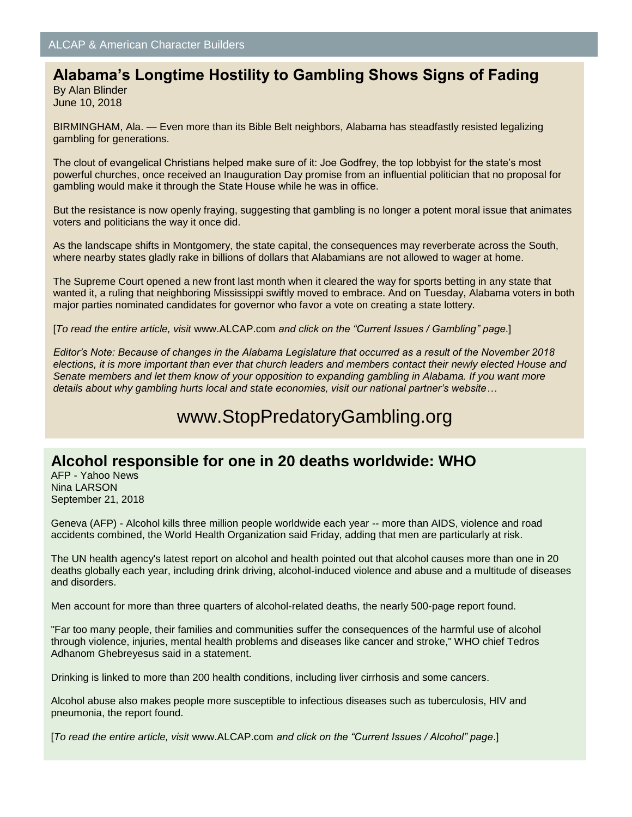## **Alabama's Longtime Hostility to Gambling Shows Signs of Fading**

By Alan Blinder June 10, 2018

BIRMINGHAM, Ala. — Even more than its Bible Belt neighbors, Alabama has steadfastly resisted legalizing gambling for generations.

The clout of evangelical Christians helped make sure of it: Joe Godfrey, the top lobbyist for the state's most powerful churches, once received an Inauguration Day promise from an influential politician that no proposal for gambling would make it through the State House while he was in office.

But the resistance is now openly fraying, suggesting that gambling is no longer a potent moral issue that animates voters and politicians the way it once did.

As the landscape shifts in Montgomery, the state capital, the consequences may reverberate across the South, where nearby states gladly rake in billions of dollars that Alabamians are not allowed to wager at home.

The Supreme Court opened a new front last month when it cleared the way for sports betting in any state that wanted it, a ruling that neighboring Mississippi swiftly moved to embrace. And on Tuesday, Alabama voters in both major parties nominated candidates for governor who favor a vote on creating a state lottery.

[*To read the entire article, visit* www.ALCAP.com *and click on the "Current Issues / Gambling" page*.]

*Editor's Note: Because of changes in the Alabama Legislature that occurred as a result of the November 2018 elections, it is more important than ever that church leaders and members contact their newly elected House and Senate members and let them know of your opposition to expanding gambling in Alabama. If you want more details about why gambling hurts local and state economies, visit our national partner's website…*

## www.StopPredatoryGambling.org

### **Alcohol responsible for one in 20 deaths worldwide: WHO**

AFP - Yahoo News Nina LARSON September 21, 2018

Geneva (AFP) - Alcohol kills three million people worldwide each year -- more than AIDS, violence and road accidents combined, the World Health Organization said Friday, adding that men are particularly at risk.

The UN health agency's latest report on alcohol and health pointed out that alcohol causes more than one in 20 deaths globally each year, including drink driving, alcohol-induced violence and abuse and a multitude of diseases and disorders.

Men account for more than three quarters of alcohol-related deaths, the nearly 500-page report found.

"Far too many people, their families and communities suffer the consequences of the harmful use of alcohol through violence, injuries, mental health problems and diseases like cancer and stroke," WHO chief Tedros Adhanom Ghebreyesus said in a statement.

Drinking is linked to more than 200 health conditions, including liver cirrhosis and some cancers.

Alcohol abuse also makes people more susceptible to infectious diseases such as tuberculosis, HIV and pneumonia, the report found.

[*To read the entire article, visit* www.ALCAP.com *and click on the "Current Issues / Alcohol" page*.]